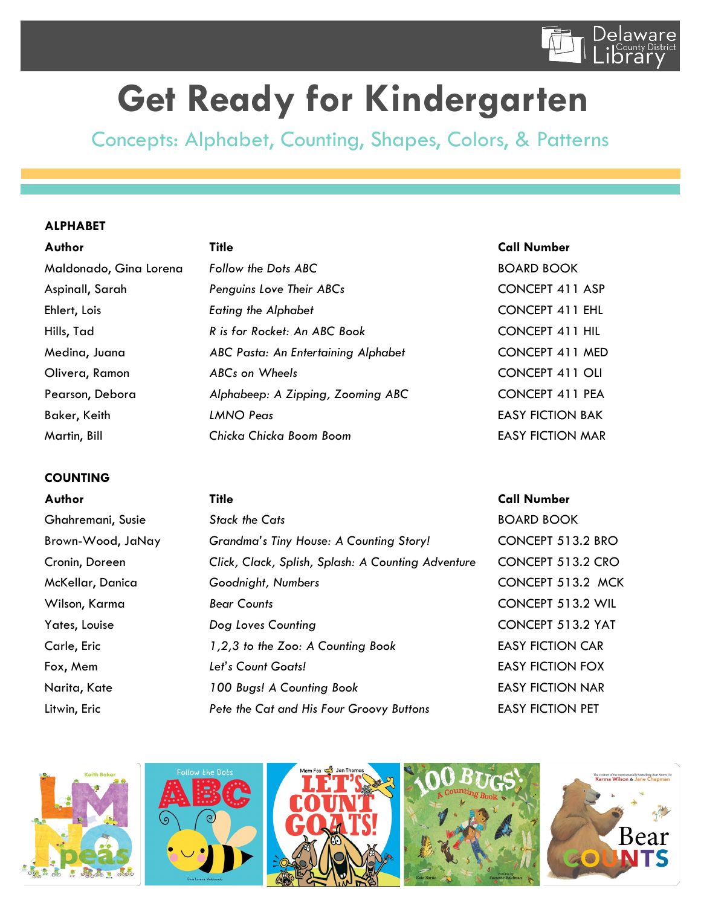

# **Get Ready for Kindergarten**

Concepts: Alphabet, Counting, Shapes, Colors, & Patterns

### **ALPHABET**

Maldonado, Gina Lorena **Follow the Dots ABC BOARD BOOK** Aspinall, Sarah *Penguins Love Their ABCs* CONCEPT 411 ASP Ehlert, Lois *Eating the Alphabet* CONCEPT 411 EHL Hills, Tad *R is for Rocket: An ABC Book* CONCEPT 411 HIL Medina, Juana *ABC Pasta: An Entertaining Alphabet* CONCEPT 411 MED Olivera, Ramon *ABCs on Wheels* CONCEPT 411 OLI Pearson, Debora *Alphabeep: A Zipping, Zooming ABC* CONCEPT 411 PEA Baker, Keith **LANNO Peas** EASY FICTION BAK Martin, Bill *Chicka Chicka Boom Boom* EASY FICTION MAR

## **COUNTING**

|  | uth |  | τo |
|--|-----|--|----|
|--|-----|--|----|

| Author            | <b>Title</b>                                       | <b>Call Number</b>      |  |
|-------------------|----------------------------------------------------|-------------------------|--|
| Ghahremani, Susie | <b>Stack the Cats</b>                              | <b>BOARD BOOK</b>       |  |
| Brown-Wood, JaNay | Grandma's Tiny House: A Counting Story!            | CONCEPT 513.2 BRO       |  |
| Cronin, Doreen    | Click, Clack, Splish, Splash: A Counting Adventure | CONCEPT 513.2 CRO       |  |
| McKellar, Danica  | Goodnight, Numbers                                 | CONCEPT 513.2 MCK       |  |
| Wilson, Karma     | <b>Bear Counts</b>                                 | CONCEPT 513.2 WIL       |  |
| Yates, Louise     | Dog Loves Counting                                 | CONCEPT 513.2 YAT       |  |
| Carle, Eric       | 1,2,3 to the Zoo: A Counting Book                  | <b>EASY FICTION CAR</b> |  |
| Fox, Mem          | Let's Count Goats!                                 | <b>EASY FICTION FOX</b> |  |
| Narita, Kate      | 100 Bugs! A Counting Book                          | <b>EASY FICTION NAR</b> |  |
| Litwin, Eric      | Pete the Cat and His Four Groovy Buttons           | <b>EASY FICTION PET</b> |  |